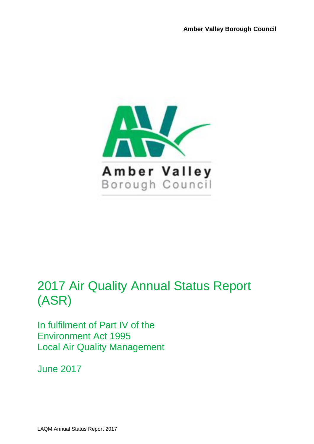

# 2017 Air Quality Annual Status Report (ASR)

In fulfilment of Part IV of the Environment Act 1995 Local Air Quality Management

June 2017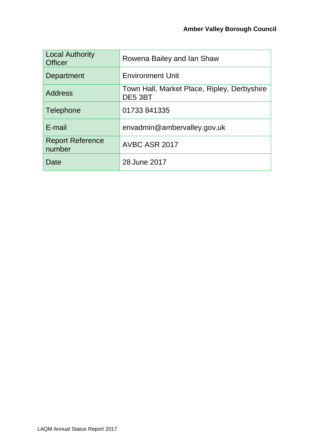| <b>Local Authority</b><br><b>Officer</b> | Rowena Bailey and Ian Shaw                             |
|------------------------------------------|--------------------------------------------------------|
| Department                               | <b>Environment Unit</b>                                |
| <b>Address</b>                           | Town Hall, Market Place, Ripley, Derbyshire<br>DE5 3BT |
| Telephone                                | 01733 841335                                           |
| E-mail                                   | envadmin@ambervalley.gov.uk                            |
| <b>Report Reference</b><br>number        | AVBC ASR 2017                                          |
| Date                                     | 28 June 2017                                           |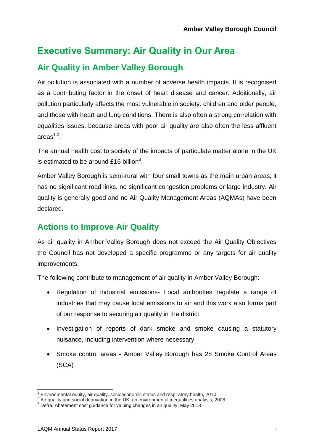### **Executive Summary: Air Quality in Our Area**

### **Air Quality in Amber Valley Borough**

Air pollution is associated with a number of adverse health impacts. It is recognised as a contributing factor in the onset of heart disease and cancer. Additionally, air pollution particularly affects the most vulnerable in society: children and older people, and those with heart and lung conditions. There is also often a strong correlation with equalities issues, because areas with poor air quality are also often the less affluent areas $^{1,2}.$ 

The annual health cost to society of the impacts of particulate matter alone in the UK is estimated to be around £16 billion<sup>3</sup>.

Amber Valley Borough is semi-rural with four small towns as the main urban areas; it has no significant road links, no significant congestion problems or large industry. Air quality is generally good and no Air Quality Management Areas (AQMAs) have been declared.

### **Actions to Improve Air Quality**

As air quality in Amber Valley Borough does not exceed the Air Quality Objectives the Council has not developed a specific programme or any targets for air quality improvements.

The following contribute to management of air quality in Amber Valley Borough:

- Regulation of industrial emissions- Local authorities regulate a range of industries that may cause local emissions to air and this work also forms part of our response to securing air quality in the district
- Investigation of reports of dark smoke and smoke causing a statutory nuisance, including intervention where necessary
- Smoke control areas Amber Valley Borough has 28 Smoke Control Areas (SCA)

l

 $1$  Environmental equity, air quality, socioeconomic status and respiratory health, 2010

 $^2$  Air quality and social deprivation in the UK: an environmental inequalities analysis, 2006

<sup>3</sup> Defra. Abatement cost guidance for valuing changes in air quality, May 2013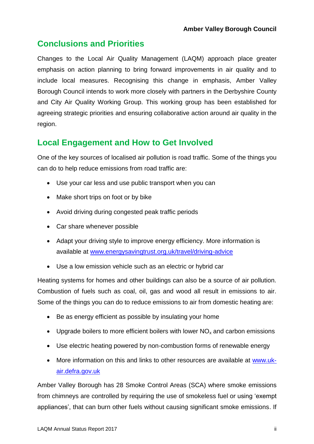### **Conclusions and Priorities**

Changes to the Local Air Quality Management (LAQM) approach place greater emphasis on action planning to bring forward improvements in air quality and to include local measures. Recognising this change in emphasis, Amber Valley Borough Council intends to work more closely with partners in the Derbyshire County and City Air Quality Working Group. This working group has been established for agreeing strategic priorities and ensuring collaborative action around air quality in the region.

#### **Local Engagement and How to Get Involved**

One of the key sources of localised air pollution is road traffic. Some of the things you can do to help reduce emissions from road traffic are:

- Use your car less and use public transport when you can
- Make short trips on foot or by bike
- Avoid driving during congested peak traffic periods
- Car share whenever possible
- Adapt your driving style to improve energy efficiency. More information is available at [www.energysavingtrust.org.uk/travel/driving-advice](http://www.energysavingtrust.org.uk/travel/driving-advice)
- Use a low emission vehicle such as an electric or hybrid car

Heating systems for homes and other buildings can also be a source of air pollution. Combustion of fuels such as coal, oil, gas and wood all result in emissions to air. Some of the things you can do to reduce emissions to air from domestic heating are:

- Be as energy efficient as possible by insulating your home
- Upgrade boilers to more efficient boilers with lower  $NO<sub>x</sub>$  and carbon emissions
- Use electric heating powered by non-combustion forms of renewable energy
- More information on this and links to other resources are available at [www.uk](https://uk-air.defra.gov.uk/)[air.defra.gov.uk](https://uk-air.defra.gov.uk/)

Amber Valley Borough has 28 Smoke Control Areas (SCA) where smoke emissions from chimneys are controlled by requiring the use of smokeless fuel or using 'exempt appliances', that can burn other fuels without causing significant smoke emissions. If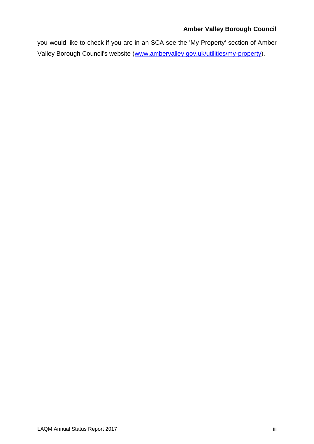#### **Amber Valley Borough Council**

you would like to check if you are in an SCA see the 'My Property' section of Amber Valley Borough Council's website [\(www.ambervalley.gov.uk/utilities/my-property\)](http://www.ambervalley.gov.uk/utilities/my-property).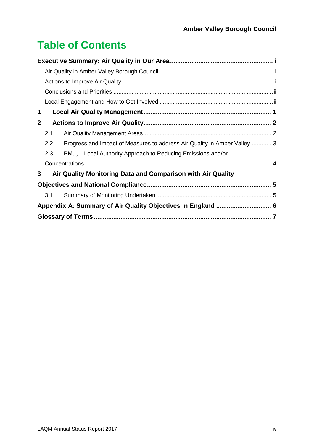# **Table of Contents**

| 1            |     |                                                                           |  |  |  |
|--------------|-----|---------------------------------------------------------------------------|--|--|--|
| $\mathbf{2}$ |     |                                                                           |  |  |  |
|              | 2.1 |                                                                           |  |  |  |
|              | 2.2 | Progress and Impact of Measures to address Air Quality in Amber Valley  3 |  |  |  |
|              | 2.3 | $PM_{2.5}$ – Local Authority Approach to Reducing Emissions and/or        |  |  |  |
|              |     |                                                                           |  |  |  |
| 3            |     | Air Quality Monitoring Data and Comparison with Air Quality               |  |  |  |
|              |     |                                                                           |  |  |  |
|              | 3.1 |                                                                           |  |  |  |
|              |     |                                                                           |  |  |  |
|              |     |                                                                           |  |  |  |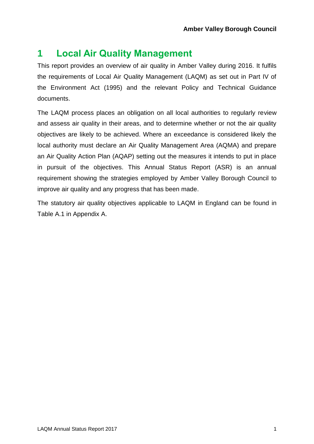### **1 Local Air Quality Management**

This report provides an overview of air quality in Amber Valley during 2016. It fulfils the requirements of Local Air Quality Management (LAQM) as set out in Part IV of the Environment Act (1995) and the relevant Policy and Technical Guidance documents.

The LAQM process places an obligation on all local authorities to regularly review and assess air quality in their areas, and to determine whether or not the air quality objectives are likely to be achieved. Where an exceedance is considered likely the local authority must declare an Air Quality Management Area (AQMA) and prepare an Air Quality Action Plan (AQAP) setting out the measures it intends to put in place in pursuit of the objectives. This Annual Status Report (ASR) is an annual requirement showing the strategies employed by Amber Valley Borough Council to improve air quality and any progress that has been made.

The statutory air quality objectives applicable to LAQM in England can be found in [Table A.1](#page-11-0) in Appendix A.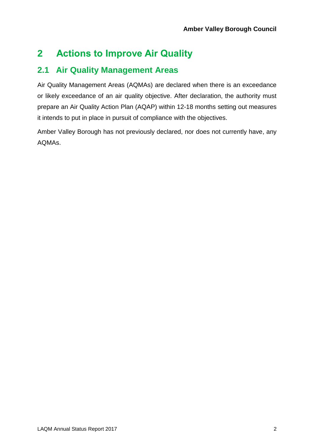## **2 Actions to Improve Air Quality**

### **2.1 Air Quality Management Areas**

Air Quality Management Areas (AQMAs) are declared when there is an exceedance or likely exceedance of an air quality objective. After declaration, the authority must prepare an Air Quality Action Plan (AQAP) within 12-18 months setting out measures it intends to put in place in pursuit of compliance with the objectives.

Amber Valley Borough has not previously declared, nor does not currently have, any AQMAs.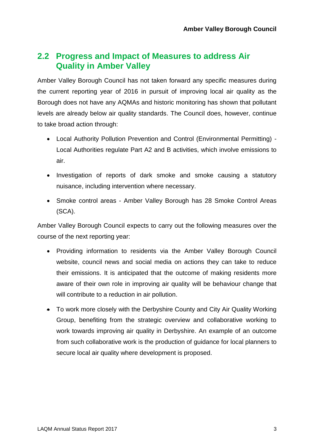#### **2.2 Progress and Impact of Measures to address Air Quality in Amber Valley**

Amber Valley Borough Council has not taken forward any specific measures during the current reporting year of 2016 in pursuit of improving local air quality as the Borough does not have any AQMAs and historic monitoring has shown that pollutant levels are already below air quality standards. The Council does, however, continue to take broad action through:

- Local Authority Pollution Prevention and Control (Environmental Permitting) Local Authorities regulate Part A2 and B activities, which involve emissions to air.
- Investigation of reports of dark smoke and smoke causing a statutory nuisance, including intervention where necessary.
- Smoke control areas Amber Valley Borough has 28 Smoke Control Areas (SCA).

Amber Valley Borough Council expects to carry out the following measures over the course of the next reporting year:

- Providing information to residents via the Amber Valley Borough Council website, council news and social media on actions they can take to reduce their emissions. It is anticipated that the outcome of making residents more aware of their own role in improving air quality will be behaviour change that will contribute to a reduction in air pollution.
- To work more closely with the Derbyshire County and City Air Quality Working Group, benefiting from the strategic overview and collaborative working to work towards improving air quality in Derbyshire. An example of an outcome from such collaborative work is the production of guidance for local planners to secure local air quality where development is proposed.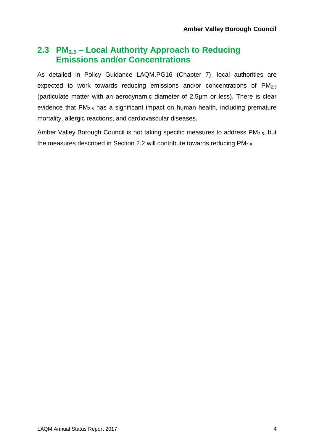#### **2.3 PM2.5 – Local Authority Approach to Reducing Emissions and/or Concentrations**

As detailed in Policy Guidance LAQM.PG16 (Chapter 7), local authorities are expected to work towards reducing emissions and/or concentrations of  $PM<sub>2.5</sub>$ (particulate matter with an aerodynamic diameter of 2.5µm or less). There is clear evidence that PM<sub>2.5</sub> has a significant impact on human health, including premature mortality, allergic reactions, and cardiovascular diseases.

Amber Valley Borough Council is not taking specific measures to address  $PM<sub>2.5</sub>$ , but the measures described in Section 2.2 will contribute towards reducing  $PM_{2.5}$ .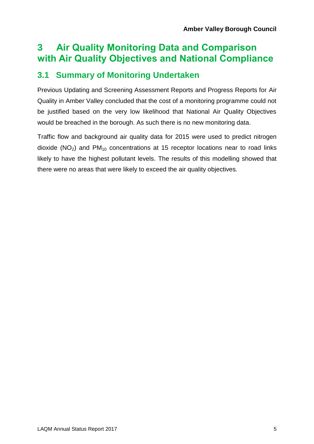### **3 Air Quality Monitoring Data and Comparison with Air Quality Objectives and National Compliance**

### **3.1 Summary of Monitoring Undertaken**

Previous Updating and Screening Assessment Reports and Progress Reports for Air Quality in Amber Valley concluded that the cost of a monitoring programme could not be justified based on the very low likelihood that National Air Quality Objectives would be breached in the borough. As such there is no new monitoring data.

Traffic flow and background air quality data for 2015 were used to predict nitrogen dioxide ( $NO<sub>2</sub>$ ) and  $PM<sub>10</sub>$  concentrations at 15 receptor locations near to road links likely to have the highest pollutant levels. The results of this modelling showed that there were no areas that were likely to exceed the air quality objectives*.*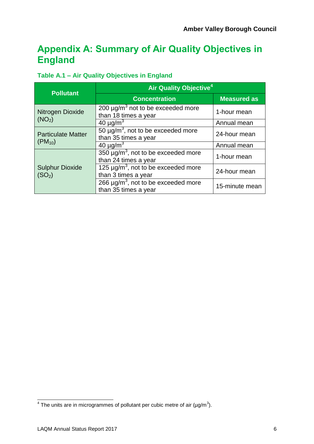### **Appendix A: Summary of Air Quality Objectives in England**

#### <span id="page-11-0"></span>**Table A.1 – Air Quality Objectives in England**

| <b>Pollutant</b>                             | Air Quality Objective <sup>4</sup>                                                 |                    |  |
|----------------------------------------------|------------------------------------------------------------------------------------|--------------------|--|
|                                              | <b>Concentration</b>                                                               | <b>Measured as</b> |  |
| Nitrogen Dioxide                             | $\overline{200}$ µg/m <sup>3</sup> not to be exceeded more<br>than 18 times a year | 1-hour mean        |  |
| (NO <sub>2</sub> )                           | $40 \mu g/m3$                                                                      | Annual mean        |  |
| <b>Particulate Matter</b>                    | $50 \mu g/m3$ , not to be exceeded more<br>than 35 times a year                    | 24-hour mean       |  |
| $(PM_{10})$                                  | 40 $\mu$ g/m <sup>3</sup>                                                          | Annual mean        |  |
|                                              | $350 \mu g/m^3$ , not to be exceeded more<br>than 24 times a year                  | 1-hour mean        |  |
| <b>Sulphur Dioxide</b><br>(SO <sub>2</sub> ) | $125 \mu g/m^3$ , not to be exceeded more<br>than 3 times a year                   | 24-hour mean       |  |
|                                              | 266 $\mu$ g/m <sup>3</sup> , not to be exceeded more<br>than 35 times a year       | 15-minute mean     |  |

 $\frac{4}{1}$  The units are in microgrammes of pollutant per cubic metre of air (µg/m<sup>3</sup>).